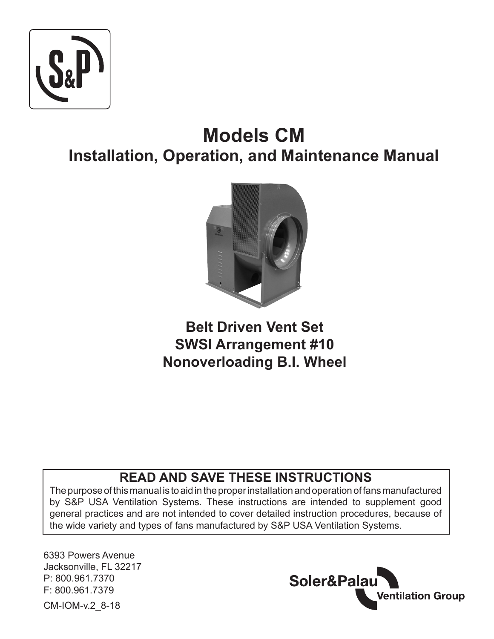

# **Models CM Installation, Operation, and Maintenance Manual**



**Belt Driven Vent Set SWSI Arrangement #10 Nonoverloading B.I. Wheel**

# **READ AND SAVE THESE INSTRUCTIONS**

The purpose of this manual is to aid in the proper installation and operation of fans manufactured by S&P USA Ventilation Systems. These instructions are intended to supplement good general practices and are not intended to cover detailed instruction procedures, because of the wide variety and types of fans manufactured by S&P USA Ventilation Systems.

6393 Powers Avenue Jacksonville, FL 32217 P: 800.961.7370 F: 800.961.7379 CM-IOM-v.2\_8-18

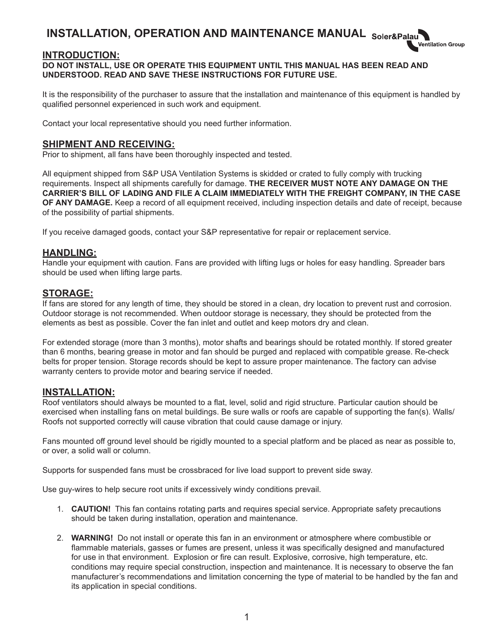# **INSTALLATION, OPERATION AND MAINTENANCE MANUAL**

#### **INTRODUCTION:**

#### **DO NOT INSTALL, USE OR OPERATE THIS EQUIPMENT UNTIL THIS MANUAL HAS BEEN READ AND UNDERSTOOD. READ AND SAVE THESE INSTRUCTIONS FOR FUTURE USE.**

It is the responsibility of the purchaser to assure that the installation and maintenance of this equipment is handled by qualified personnel experienced in such work and equipment.

ntilation Group

Contact your local representative should you need further information.

#### **SHIPMENT AND RECEIVING:**

Prior to shipment, all fans have been thoroughly inspected and tested.

All equipment shipped from S&P USA Ventilation Systems is skidded or crated to fully comply with trucking requirements. Inspect all shipments carefully for damage. **THE RECEIVER MUST NOTE ANY DAMAGE ON THE CARRIER'S BILL OF LADING AND FILE A CLAIM IMMEDIATELY WITH THE FREIGHT COMPANY, IN THE CASE OF ANY DAMAGE.** Keep a record of all equipment received, including inspection details and date of receipt, because of the possibility of partial shipments.

If you receive damaged goods, contact your S&P representative for repair or replacement service.

#### **HANDLING:**

Handle your equipment with caution. Fans are provided with lifting lugs or holes for easy handling. Spreader bars should be used when lifting large parts.

#### **STORAGE:**

If fans are stored for any length of time, they should be stored in a clean, dry location to prevent rust and corrosion. Outdoor storage is not recommended. When outdoor storage is necessary, they should be protected from the elements as best as possible. Cover the fan inlet and outlet and keep motors dry and clean.

For extended storage (more than 3 months), motor shafts and bearings should be rotated monthly. If stored greater than 6 months, bearing grease in motor and fan should be purged and replaced with compatible grease. Re-check belts for proper tension. Storage records should be kept to assure proper maintenance. The factory can advise warranty centers to provide motor and bearing service if needed.

#### **INSTALLATION:**

Roof ventilators should always be mounted to a flat, level, solid and rigid structure. Particular caution should be exercised when installing fans on metal buildings. Be sure walls or roofs are capable of supporting the fan(s). Walls/ Roofs not supported correctly will cause vibration that could cause damage or injury.

Fans mounted off ground level should be rigidly mounted to a special platform and be placed as near as possible to, or over, a solid wall or column.

Supports for suspended fans must be crossbraced for live load support to prevent side sway.

Use guy-wires to help secure root units if excessively windy conditions prevail.

- 1. **CAUTION!** This fan contains rotating parts and requires special service. Appropriate safety precautions should be taken during installation, operation and maintenance.
- 2. **WARNING!** Do not install or operate this fan in an environment or atmosphere where combustible or flammable materials, gasses or fumes are present, unless it was specifically designed and manufactured for use in that environment. Explosion or fire can result. Explosive, corrosive, high temperature, etc. conditions may require special construction, inspection and maintenance. It is necessary to observe the fan manufacturer's recommendations and limitation concerning the type of material to be handled by the fan and its application in special conditions.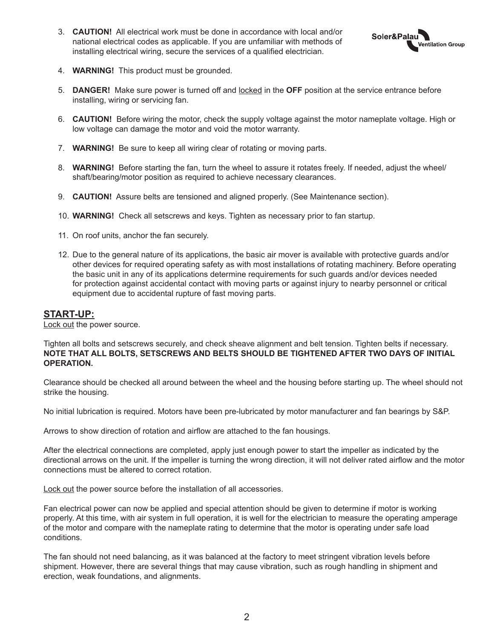3. **CAUTION!** All electrical work must be done in accordance with local and/or national electrical codes as applicable. If you are unfamiliar with methods of installing electrical wiring, secure the services of a qualified electrician.



- 4. **WARNING!** This product must be grounded.
- 5. **DANGER!** Make sure power is turned off and locked in the **OFF** position at the service entrance before installing, wiring or servicing fan.
- 6. **CAUTION!** Before wiring the motor, check the supply voltage against the motor nameplate voltage. High or low voltage can damage the motor and void the motor warranty.
- 7. **WARNING!** Be sure to keep all wiring clear of rotating or moving parts.
- 8. **WARNING!** Before starting the fan, turn the wheel to assure it rotates freely. If needed, adjust the wheel/ shaft/bearing/motor position as required to achieve necessary clearances.
- 9. **CAUTION!** Assure belts are tensioned and aligned properly. (See Maintenance section).
- 10. **WARNING!** Check all setscrews and keys. Tighten as necessary prior to fan startup.
- 11. On roof units, anchor the fan securely.
- 12. Due to the general nature of its applications, the basic air mover is available with protective guards and/or other devices for required operating safety as with most installations of rotating machinery. Before operating the basic unit in any of its applications determine requirements for such guards and/or devices needed for protection against accidental contact with moving parts or against injury to nearby personnel or critical equipment due to accidental rupture of fast moving parts.

#### **START-UP:**

Lock out the power source.

Tighten all bolts and setscrews securely, and check sheave alignment and belt tension. Tighten belts if necessary. **NOTE THAT ALL BOLTS, SETSCREWS AND BELTS SHOULD BE TIGHTENED AFTER TWO DAYS OF INITIAL OPERATION.**

Clearance should be checked all around between the wheel and the housing before starting up. The wheel should not strike the housing.

No initial lubrication is required. Motors have been pre-lubricated by motor manufacturer and fan bearings by S&P.

Arrows to show direction of rotation and airflow are attached to the fan housings.

After the electrical connections are completed, apply just enough power to start the impeller as indicated by the directional arrows on the unit. If the impeller is turning the wrong direction, it will not deliver rated airflow and the motor connections must be altered to correct rotation.

Lock out the power source before the installation of all accessories.

Fan electrical power can now be applied and special attention should be given to determine if motor is working properly. At this time, with air system in full operation, it is well for the electrician to measure the operating amperage of the motor and compare with the nameplate rating to determine that the motor is operating under safe load conditions.

The fan should not need balancing, as it was balanced at the factory to meet stringent vibration levels before shipment. However, there are several things that may cause vibration, such as rough handling in shipment and erection, weak foundations, and alignments.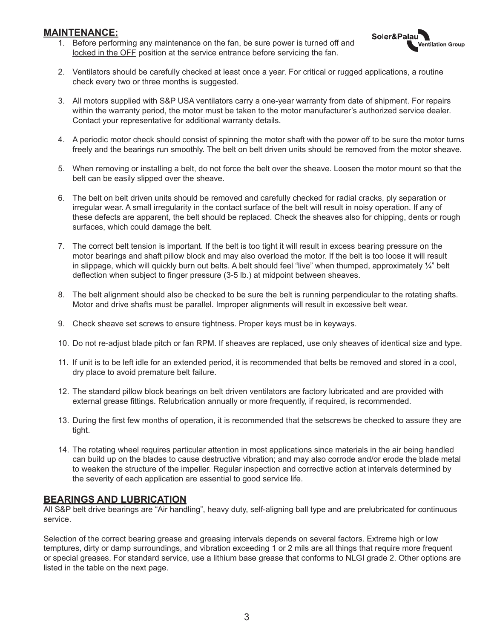#### **MAINTENANCE:**

1. Before performing any maintenance on the fan, be sure power is turned off and locked in the OFF position at the service entrance before servicing the fan.



- 2. Ventilators should be carefully checked at least once a year. For critical or rugged applications, a routine check every two or three months is suggested.
- 3. All motors supplied with S&P USA ventilators carry a one-year warranty from date of shipment. For repairs within the warranty period, the motor must be taken to the motor manufacturer's authorized service dealer. Contact your representative for additional warranty details.
- 4. A periodic motor check should consist of spinning the motor shaft with the power off to be sure the motor turns freely and the bearings run smoothly. The belt on belt driven units should be removed from the motor sheave.
- 5. When removing or installing a belt, do not force the belt over the sheave. Loosen the motor mount so that the belt can be easily slipped over the sheave.
- 6. The belt on belt driven units should be removed and carefully checked for radial cracks, ply separation or irregular wear. A small irregularity in the contact surface of the belt will result in noisy operation. If any of these defects are apparent, the belt should be replaced. Check the sheaves also for chipping, dents or rough surfaces, which could damage the belt.
- 7. The correct belt tension is important. If the belt is too tight it will result in excess bearing pressure on the motor bearings and shaft pillow block and may also overload the motor. If the belt is too loose it will result in slippage, which will quickly burn out belts. A belt should feel "live" when thumped, approximately ¼" belt deflection when subject to finger pressure (3-5 lb.) at midpoint between sheaves.
- 8. The belt alignment should also be checked to be sure the belt is running perpendicular to the rotating shafts. Motor and drive shafts must be parallel. Improper alignments will result in excessive belt wear.
- 9. Check sheave set screws to ensure tightness. Proper keys must be in keyways.
- 10. Do not re-adjust blade pitch or fan RPM. If sheaves are replaced, use only sheaves of identical size and type.
- 11. If unit is to be left idle for an extended period, it is recommended that belts be removed and stored in a cool, dry place to avoid premature belt failure.
- 12. The standard pillow block bearings on belt driven ventilators are factory lubricated and are provided with external grease fittings. Relubrication annually or more frequently, if required, is recommended.
- 13. During the first few months of operation, it is recommended that the setscrews be checked to assure they are tight.
- 14. The rotating wheel requires particular attention in most applications since materials in the air being handled can build up on the blades to cause destructive vibration; and may also corrode and/or erode the blade metal to weaken the structure of the impeller. Regular inspection and corrective action at intervals determined by the severity of each application are essential to good service life.

#### **BEARINGS AND LUBRICATION**

All S&P belt drive bearings are "Air handling", heavy duty, self-aligning ball type and are prelubricated for continuous service.

Selection of the correct bearing grease and greasing intervals depends on several factors. Extreme high or low temptures, dirty or damp surroundings, and vibration exceeding 1 or 2 mils are all things that require more frequent or special greases. For standard service, use a lithium base grease that conforms to NLGI grade 2. Other options are listed in the table on the next page.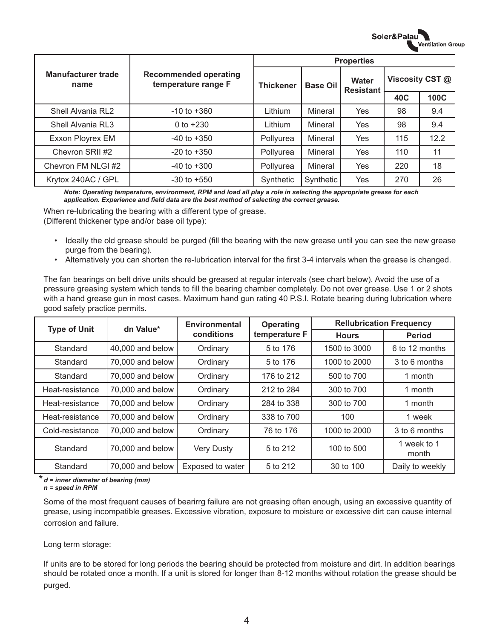|                                   | <b>Recommended operating</b><br>temperature range F<br><b>Thickener</b> | <b>Properties</b> |                 |                           |                 |      |
|-----------------------------------|-------------------------------------------------------------------------|-------------------|-----------------|---------------------------|-----------------|------|
| <b>Manufacturer trade</b><br>name |                                                                         |                   | <b>Base Oil</b> | Water<br><b>Resistant</b> | Viscosity CST @ |      |
|                                   |                                                                         |                   |                 | 40C                       | <b>100C</b>     |      |
| Shell Alvania RL2                 | $-10$ to $+360$                                                         | Lithium           | Mineral         | Yes                       | 98              | 9.4  |
| Shell Alvania RL3                 | 0 to $+230$                                                             | Lithium           | Mineral         | Yes                       | 98              | 9.4  |
| Exxon Ployrex EM                  | $-40$ to $+350$                                                         | Pollyurea         | Mineral         | Yes                       | 115             | 12.2 |
| Chevron SRII #2                   | $-20$ to $+350$                                                         | Pollyurea         | Mineral         | <b>Yes</b>                | 110             | 11   |
| Chevron FM NLGI #2                | $-40$ to $+300$                                                         | Pollyurea         | Mineral         | <b>Yes</b>                | 220             | 18   |
| Krytox 240AC / GPL                | $-30$ to $+550$                                                         | Synthetic         | Synthetic       | Yes                       | 270             | 26   |

Soler&Palau

ntilation Group

*Note: Operating temperature, environment, RPM and load all play a role in selecting the appropriate grease for each application. Experience and field data are the best method of selecting the correct grease.*

When re-lubricating the bearing with a different type of grease.

(Different thickener type and/or base oil type):

- Ideally the old grease should be purged (fill the bearing with the new grease until you can see the new grease purge from the bearing).
- Alternatively you can shorten the re-lubrication interval for the first 3-4 intervals when the grease is changed.

The fan bearings on belt drive units should be greased at regular intervals (see chart below). Avoid the use of a pressure greasing system which tends to fill the bearing chamber completely. Do not over grease. Use 1 or 2 shots with a hand grease gun in most cases. Maximum hand gun rating 40 P.S.I. Rotate bearing during lubrication where good safety practice permits.

|                     | dn Value*        | Environmental<br>conditions | Operating     | <b>Rellubrication Frequency</b> |                      |  |
|---------------------|------------------|-----------------------------|---------------|---------------------------------|----------------------|--|
| <b>Type of Unit</b> |                  |                             | temperature F | <b>Hours</b>                    | <b>Period</b>        |  |
| Standard            | 40,000 and below | Ordinary                    | 5 to 176      | 1500 to 3000                    | 6 to 12 months       |  |
| Standard            | 70,000 and below | Ordinary                    | 5 to 176      | 1000 to 2000                    | 3 to 6 months        |  |
| Standard            | 70,000 and below | Ordinary                    | 176 to 212    | 500 to 700                      | 1 month              |  |
| Heat-resistance     | 70,000 and below | Ordinary                    | 212 to 284    | 300 to 700                      | 1 month              |  |
| Heat-resistance     | 70,000 and below | Ordinary                    | 284 to 338    | 300 to 700                      | 1 month              |  |
| Heat-resistance     | 70,000 and below | Ordinary                    | 338 to 700    | 100                             | 1 week               |  |
| Cold-resistance     | 70,000 and below | Ordinary                    | 76 to 176     | 1000 to 2000                    | 3 to 6 months        |  |
| Standard            | 70,000 and below | <b>Very Dusty</b>           | 5 to 212      | 100 to 500                      | 1 week to 1<br>month |  |
| Standard            | 70,000 and below | Exposed to water            | 5 to 212      | 30 to 100                       | Daily to weekly      |  |

*\* d = inner diameter of bearing (mm)*

 *n = speed in RPM*

Some of the most frequent causes of bearirrg failure are not greasing often enough, using an excessive quantity of grease, using incompatible greases. Excessive vibration, exposure to moisture or excessive dirt can cause internal corrosion and failure.

Long term storage:

If units are to be stored for long periods the bearing should be protected from moisture and dirt. In addition bearings should be rotated once a month. If a unit is stored for longer than 8-12 months without rotation the grease should be purged.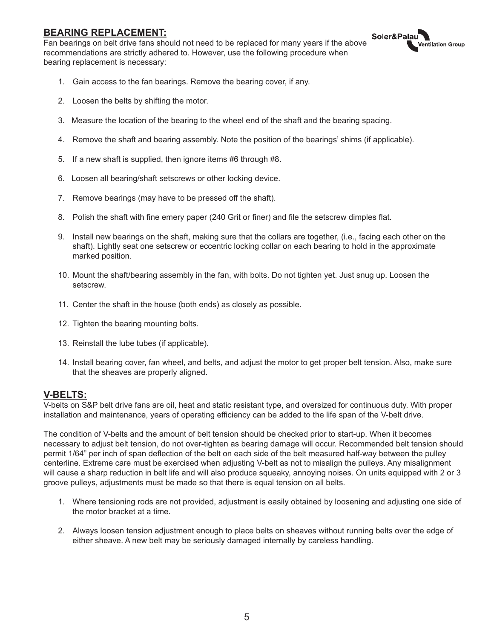#### **BEARING REPLACEMENT:**

Fan bearings on belt drive fans should not need to be replaced for many years if the above recommendations are strictly adhered to. However, use the following procedure when bearing replacement is necessary:



- 1. Gain access to the fan bearings. Remove the bearing cover, if any.
- 2. Loosen the belts by shifting the motor.
- 3. Measure the location of the bearing to the wheel end of the shaft and the bearing spacing.
- 4. Remove the shaft and bearing assembly. Note the position of the bearings' shims (if applicable).
- 5. If a new shaft is supplied, then ignore items #6 through #8.
- 6. Loosen all bearing/shaft setscrews or other locking device.
- 7. Remove bearings (may have to be pressed off the shaft).
- 8. Polish the shaft with fine emery paper (240 Grit or finer) and file the setscrew dimples flat.
- 9. Install new bearings on the shaft, making sure that the collars are together, (i.e., facing each other on the shaft). Lightly seat one setscrew or eccentric locking collar on each bearing to hold in the approximate marked position.
- 10. Mount the shaft/bearing assembly in the fan, with bolts. Do not tighten yet. Just snug up. Loosen the setscrew.
- 11. Center the shaft in the house (both ends) as closely as possible.
- 12. Tighten the bearing mounting bolts.
- 13. Reinstall the lube tubes (if applicable).
- 14. Install bearing cover, fan wheel, and belts, and adjust the motor to get proper belt tension. Also, make sure that the sheaves are properly aligned.

#### **V-BELTS:**

V-belts on S&P belt drive fans are oil, heat and static resistant type, and oversized for continuous duty. With proper installation and maintenance, years of operating efficiency can be added to the life span of the V-belt drive.

The condition of V-belts and the amount of belt tension should be checked prior to start-up. When it becomes necessary to adjust belt tension, do not over-tighten as bearing damage will occur. Recommended belt tension should permit 1/64" per inch of span deflection of the belt on each side of the belt measured half-way between the pulley centerline. Extreme care must be exercised when adjusting V-belt as not to misalign the pulleys. Any misalignment will cause a sharp reduction in belt life and will also produce squeaky, annoying noises. On units equipped with 2 or 3 groove pulleys, adjustments must be made so that there is equal tension on all belts.

- 1. Where tensioning rods are not provided, adjustment is easily obtained by loosening and adjusting one side of the motor bracket at a time.
- 2. Always loosen tension adjustment enough to place belts on sheaves without running belts over the edge of either sheave. A new belt may be seriously damaged internally by careless handling.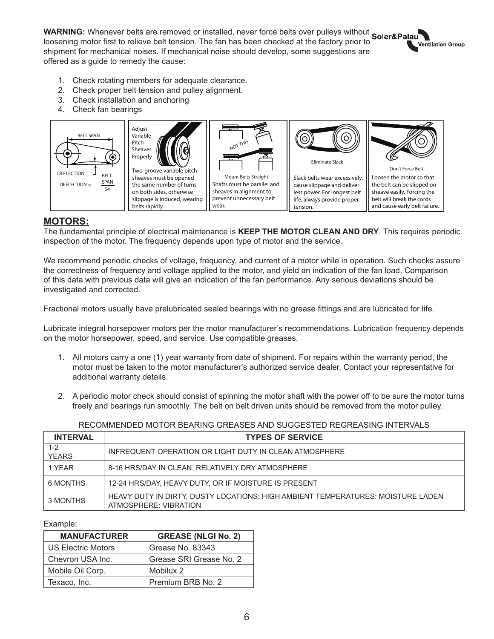**WARNING:** Whenever belts are removed or installed, never force belts over pulleys without loosening motor first to relieve belt tension. The fan has been checked at the factory prior to shipment for mechanical noises. If mechanical noise should develop, some suggestions are offered as a guide to remedy the cause:

**Ventilation Group** 

- 1. Check rotating members for adequate clearance.
- 2. Check proper belt tension and pulley alignment.
- 3. Check installation and anchoring
- 4. Check fan bearings



#### **MOTORS:**

The fundamental principle of electrical maintenance is **KEEP THE MOTOR CLEAN AND DRY**. This requires periodic inspection of the motor. The frequency depends upon type of motor and the service.

We recommend periodic checks of voltage, frequency, and current of a motor while in operation. Such checks assure the correctness of frequency and voltage applied to the motor, and yield an indication of the fan load. Comparison of this data with previous data will give an indication of the fan performance. Any serious deviations should be investigated and corrected.

Fractional motors usually have prelubricated sealed bearings with no grease fittings and are lubricated for life.

Lubricate integral horsepower motors per the motor manufacturer's recommendations. Lubrication frequency depends on the motor horsepower, speed, and service. Use compatible greases.

- 1. All motors carry a one (1) year warranty from date of shipment. For repairs within the warranty period, the motor must be taken to the motor manufacturer's authorized service dealer. Contact your representative for additional warranty details.
- 2. A periodic motor check should consist of spinning the motor shaft with the power off to be sure the motor turns freely and bearings run smoothly. The belt on belt driven units should be removed from the motor pulley.

RECOMMENDED MOTOR BEARING GREASES AND SUGGESTED REGREASING INTERVALS

| <b>INTERVAL</b>         | <b>TYPES OF SERVICE</b>                                                                                  |
|-------------------------|----------------------------------------------------------------------------------------------------------|
| $1 - 2$<br><b>YEARS</b> | INFREQUENT OPERATION OR LIGHT DUTY IN CLEAN ATMOSPHERE                                                   |
| 1 YEAR                  | 8-16 HRS/DAY IN CLEAN, RELATIVELY DRY ATMOSPHERE                                                         |
| 6 MONTHS                | 12-24 HRS/DAY, HEAVY DUTY, OR IF MOISTURE IS PRESENT                                                     |
| 3 MONTHS                | HEAVY DUTY IN DIRTY, DUSTY LOCATIONS: HIGH AMBIENT TEMPERATURES: MOISTURE LADEN<br>ATMOSPHERE: VIBRATION |

Example:

| <b>MANUFACTURER</b>       | <b>GREASE (NLGI No. 2)</b> |
|---------------------------|----------------------------|
| <b>US Electric Motors</b> | Grease No. 83343           |
| Chevron USA Inc.          | Grease SRI Grease No. 2    |
| Mobile Oil Corp.          | Mobilux 2                  |
| Texaco, Inc.              | Premium BRB No. 2          |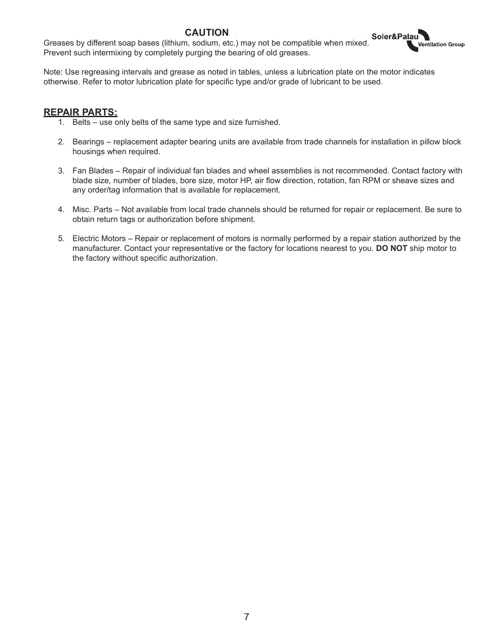#### **CAUTION**

Greases by different soap bases (lithium, sodium, etc.) may not be compatible when mixed. Prevent such intermixing by completely purging the bearing of old greases.

Note: Use regreasing intervals and grease as noted in tables, unless a lubrication plate on the motor indicates otherwise. Refer to motor lubrication plate for specific type and/or grade of lubricant to be used.

#### **REPAIR PARTS:**

- 1. Belts use only belts of the same type and size furnished.
- 2. Bearings replacement adapter bearing units are available from trade channels for installation in pillow block housings when required.

**Intilation Group** 

- 3. Fan Blades Repair of individual fan blades and wheel assemblies is not recommended. Contact factory with blade size, number of blades, bore size, motor HP, air flow direction, rotation, fan RPM or sheave sizes and any order/tag information that is available for replacement.
- 4. Misc. Parts Not available from local trade channels should be returned for repair or replacement. Be sure to obtain return tags or authorization before shipment.
- 5. Electric Motors Repair or replacement of motors is normally performed by a repair station authorized by the manufacturer. Contact your representative or the factory for locations nearest to you. **DO NOT** ship motor to the factory without specific authorization.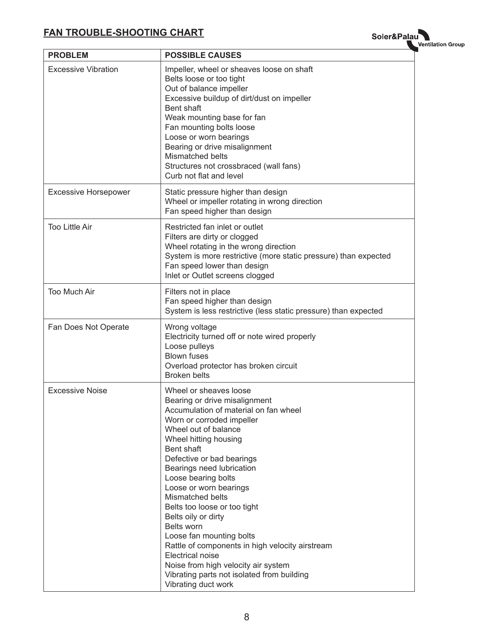## **FAN TROUBLE-SHOOTING CHART**

Soler&Palau

| <b>PROBLEM</b>              | <b>POSSIBLE CAUSES</b>                                                                                                                                                                                                                                                                                                                                                                                                                                                                                                                                                                                          |
|-----------------------------|-----------------------------------------------------------------------------------------------------------------------------------------------------------------------------------------------------------------------------------------------------------------------------------------------------------------------------------------------------------------------------------------------------------------------------------------------------------------------------------------------------------------------------------------------------------------------------------------------------------------|
| <b>Excessive Vibration</b>  | Impeller, wheel or sheaves loose on shaft<br>Belts loose or too tight<br>Out of balance impeller<br>Excessive buildup of dirt/dust on impeller<br>Bent shaft<br>Weak mounting base for fan<br>Fan mounting bolts loose<br>Loose or worn bearings<br>Bearing or drive misalignment<br>Mismatched belts<br>Structures not crossbraced (wall fans)<br>Curb not flat and level                                                                                                                                                                                                                                      |
| <b>Excessive Horsepower</b> | Static pressure higher than design<br>Wheel or impeller rotating in wrong direction<br>Fan speed higher than design                                                                                                                                                                                                                                                                                                                                                                                                                                                                                             |
| <b>Too Little Air</b>       | Restricted fan inlet or outlet<br>Filters are dirty or clogged<br>Wheel rotating in the wrong direction<br>System is more restrictive (more static pressure) than expected<br>Fan speed lower than design<br>Inlet or Outlet screens clogged                                                                                                                                                                                                                                                                                                                                                                    |
| Too Much Air                | Filters not in place<br>Fan speed higher than design<br>System is less restrictive (less static pressure) than expected                                                                                                                                                                                                                                                                                                                                                                                                                                                                                         |
| Fan Does Not Operate        | Wrong voltage<br>Electricity turned off or note wired properly<br>Loose pulleys<br><b>Blown fuses</b><br>Overload protector has broken circuit<br><b>Broken belts</b>                                                                                                                                                                                                                                                                                                                                                                                                                                           |
| <b>Excessive Noise</b>      | Wheel or sheaves loose<br>Bearing or drive misalignment<br>Accumulation of material on fan wheel<br>Worn or corroded impeller<br>Wheel out of balance<br>Wheel hitting housing<br>Bent shaft<br>Defective or bad bearings<br>Bearings need lubrication<br>Loose bearing bolts<br>Loose or worn bearings<br>Mismatched belts<br>Belts too loose or too tight<br>Belts oily or dirty<br>Belts worn<br>Loose fan mounting bolts<br>Rattle of components in high velocity airstream<br>Electrical noise<br>Noise from high velocity air system<br>Vibrating parts not isolated from building<br>Vibrating duct work |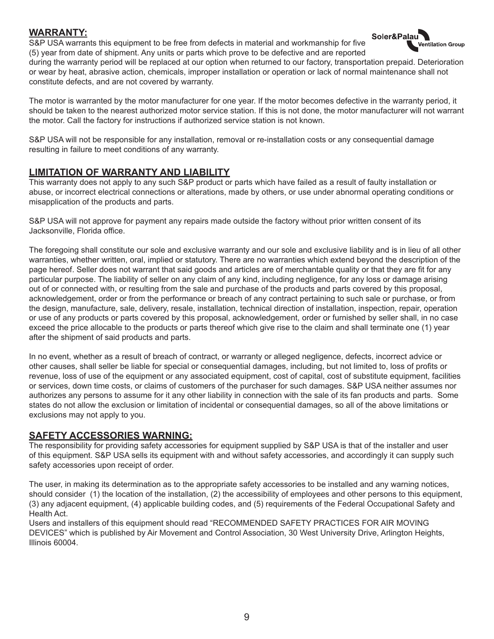#### **WARRANTY:**

S&P USA warrants this equipment to be free from defects in material and workmanship for five (5) year from date of shipment. Any units or parts which prove to be defective and are reported



during the warranty period will be replaced at our option when returned to our factory, transportation prepaid. Deterioration or wear by heat, abrasive action, chemicals, improper installation or operation or lack of normal maintenance shall not constitute defects, and are not covered by warranty.

The motor is warranted by the motor manufacturer for one year. If the motor becomes defective in the warranty period, it should be taken to the nearest authorized motor service station. If this is not done, the motor manufacturer will not warrant the motor. Call the factory for instructions if authorized service station is not known.

S&P USA will not be responsible for any installation, removal or re-installation costs or any consequential damage resulting in failure to meet conditions of any warranty.

#### **LIMITATION OF WARRANTY AND LIABILITY**

This warranty does not apply to any such S&P product or parts which have failed as a result of faulty installation or abuse, or incorrect electrical connections or alterations, made by others, or use under abnormal operating conditions or misapplication of the products and parts.

S&P USA will not approve for payment any repairs made outside the factory without prior written consent of its Jacksonville, Florida office.

The foregoing shall constitute our sole and exclusive warranty and our sole and exclusive liability and is in lieu of all other warranties, whether written, oral, implied or statutory. There are no warranties which extend beyond the description of the page hereof. Seller does not warrant that said goods and articles are of merchantable quality or that they are fit for any particular purpose. The liability of seller on any claim of any kind, including negligence, for any loss or damage arising out of or connected with, or resulting from the sale and purchase of the products and parts covered by this proposal, acknowledgement, order or from the performance or breach of any contract pertaining to such sale or purchase, or from the design, manufacture, sale, delivery, resale, installation, technical direction of installation, inspection, repair, operation or use of any products or parts covered by this proposal, acknowledgement, order or furnished by seller shall, in no case exceed the price allocable to the products or parts thereof which give rise to the claim and shall terminate one (1) year after the shipment of said products and parts.

In no event, whether as a result of breach of contract, or warranty or alleged negligence, defects, incorrect advice or other causes, shall seller be liable for special or consequential damages, including, but not limited to, loss of profits or revenue, loss of use of the equipment or any associated equipment, cost of capital, cost of substitute equipment, facilities or services, down time costs, or claims of customers of the purchaser for such damages. S&P USA neither assumes nor authorizes any persons to assume for it any other liability in connection with the sale of its fan products and parts. Some states do not allow the exclusion or limitation of incidental or consequential damages, so all of the above limitations or exclusions may not apply to you.

#### **SAFETY ACCESSORIES WARNING:**

The responsibility for providing safety accessories for equipment supplied by S&P USA is that of the installer and user of this equipment. S&P USA sells its equipment with and without safety accessories, and accordingly it can supply such safety accessories upon receipt of order.

The user, in making its determination as to the appropriate safety accessories to be installed and any warning notices, should consider (1) the location of the installation, (2) the accessibility of employees and other persons to this equipment, (3) any adjacent equipment, (4) applicable building codes, and (5) requirements of the Federal Occupational Safety and Health Act.

Users and installers of this equipment should read "RECOMMENDED SAFETY PRACTICES FOR AIR MOVING DEVICES" which is published by Air Movement and Control Association, 30 West University Drive, Arlington Heights, Illinois 60004.